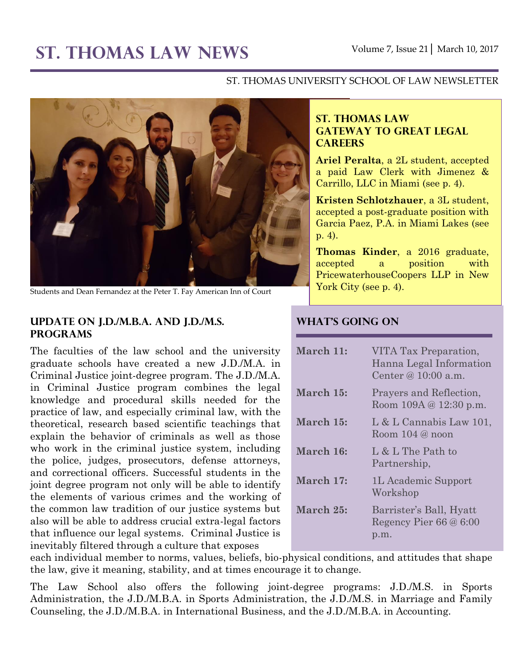# **ST. THOMAS LAW NEWS** Volume 7, Issue 21│ March 10, 2017

#### ST. THOMAS UNIVERSITY SCHOOL OF LAW NEWSLETTER



Students and Dean Fernandez at the Peter T. Fay American Inn of Court

## **Update on J.D./M.B.A. and J.D./M.S. Programs**

The faculties of the law school and the university graduate schools have created a new J.D./M.A. in Criminal Justice joint-degree program. The J.D./M.A. in Criminal Justice program combines the legal knowledge and procedural skills needed for the practice of law, and especially criminal law, with the theoretical, research based scientific teachings that explain the behavior of criminals as well as those who work in the criminal justice system, including the police, judges, prosecutors, defense attorneys, and correctional officers. Successful students in the joint degree program not only will be able to identify the elements of various crimes and the working of the common law tradition of our justice systems but also will be able to address crucial extra-legal factors that influence our legal systems. Criminal Justice is inevitably filtered through a culture that exposes

## **ST. THOMAS LAW GATEWAY TO GREAT LEGAL CAREERS**

**Ariel Peralta**, a 2L student, accepted a paid Law Clerk with Jimenez & Carrillo, LLC in Miami (see p. 4).

**Kristen Schlotzhauer**, a 3L student, accepted a post-graduate position with Garcia Paez, P.A. in Miami Lakes (see p. 4).

**Thomas Kinder**, a 2016 graduate, accepted a position with PricewaterhouseCoopers LLP in New York City (see p. 4).

## **What's Going On**

| March 11: | VITA Tax Preparation,<br>Hanna Legal Information<br>Center @ $10:00$ a.m. |
|-----------|---------------------------------------------------------------------------|
| March 15: | Prayers and Reflection,<br>Room 109A @ 12:30 p.m.                         |
| March 15: | $L & L$ Cannabis Law 101,<br>Room $104 @$ noon                            |
| March 16: | L & L The Path to<br>Partnership,                                         |
| March 17: | 1L Academic Support<br>Workshop                                           |
| March 25: | Barrister's Ball, Hyatt<br>Regency Pier $66@6:00$<br>p.m.                 |

each individual member to norms, values, beliefs, bio-physical conditions, and attitudes that shape the law, give it meaning, stability, and at times encourage it to change.

The Law School also offers the following joint-degree programs: J.D./M.S. in Sports Administration, the J.D./M.B.A. in Sports Administration, the J.D./M.S. in Marriage and Family Counseling, the J.D./M.B.A. in International Business, and the J.D./M.B.A. in Accounting.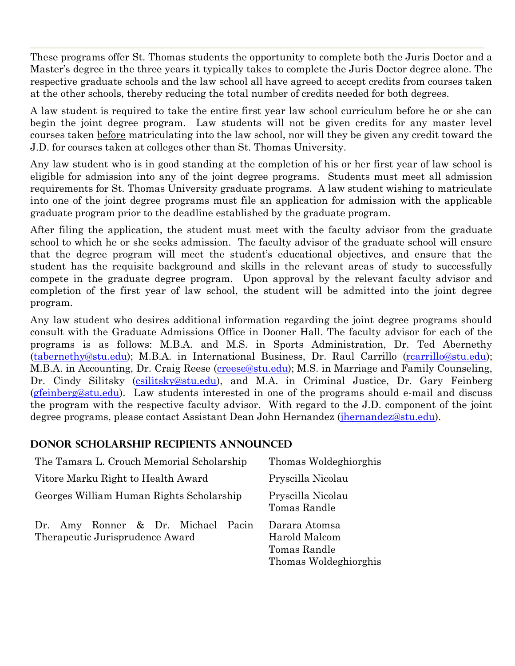These programs offer St. Thomas students the opportunity to complete both the Juris Doctor and a Master's degree in the three years it typically takes to complete the Juris Doctor degree alone. The respective graduate schools and the law school all have agreed to accept credits from courses taken at the other schools, thereby reducing the total number of credits needed for both degrees.

A law student is required to take the entire first year law school curriculum before he or she can begin the joint degree program. Law students will not be given credits for any master level courses taken before matriculating into the law school, nor will they be given any credit toward the J.D. for courses taken at colleges other than St. Thomas University.

Any law student who is in good standing at the completion of his or her first year of law school is eligible for admission into any of the joint degree programs. Students must meet all admission requirements for St. Thomas University graduate programs. A law student wishing to matriculate into one of the joint degree programs must file an application for admission with the applicable graduate program prior to the deadline established by the graduate program.

After filing the application, the student must meet with the faculty advisor from the graduate school to which he or she seeks admission. The faculty advisor of the graduate school will ensure that the degree program will meet the student's educational objectives, and ensure that the student has the requisite background and skills in the relevant areas of study to successfully compete in the graduate degree program. Upon approval by the relevant faculty advisor and completion of the first year of law school, the student will be admitted into the joint degree program.

Any law student who desires additional information regarding the joint degree programs should consult with the Graduate Admissions Office in Dooner Hall. The faculty advisor for each of the programs is as follows: M.B.A. and M.S. in Sports Administration, Dr. Ted Abernethy [\(tabernethy@stu.edu\)](mailto:tabernethy@stu.edu); M.B.A. in International Business, Dr. Raul Carrillo [\(rcarrillo@stu.edu\)](mailto:rcarrillo@stu.edu); M.B.A. in Accounting, Dr. Craig Reese [\(creese@stu.edu\)](mailto:creese@stu.edu); M.S. in Marriage and Family Counseling, Dr. Cindy Silitsky [\(csilitsky@stu.edu\)](mailto:csilitsky@stu.edu), and M.A. in Criminal Justice, Dr. Gary Feinberg [\(gfeinberg@stu.edu\)](mailto:gfeinberg@stu.edu). Law students interested in one of the programs should e-mail and discuss the program with the respective faculty advisor. With regard to the J.D. component of the joint degree programs, please contact Assistant Dean John Hernandez [\(jhernandez@stu.edu\)](mailto:jhernandez@stu.edu).

## **Donor scholarship recipients announced**

| The Tamara L. Crouch Memorial Scholarship                                | Thomas Woldeghiorghis                                                   |
|--------------------------------------------------------------------------|-------------------------------------------------------------------------|
| Vitore Marku Right to Health Award                                       | Pryscilla Nicolau                                                       |
| Georges William Human Rights Scholarship                                 | Pryscilla Nicolau<br>Tomas Randle                                       |
| Amy Ronner & Dr. Michael Pacin<br>Dr.<br>Therapeutic Jurisprudence Award | Darara Atomsa<br>Harold Malcom<br>Tomas Randle<br>Thomas Woldeghiorghis |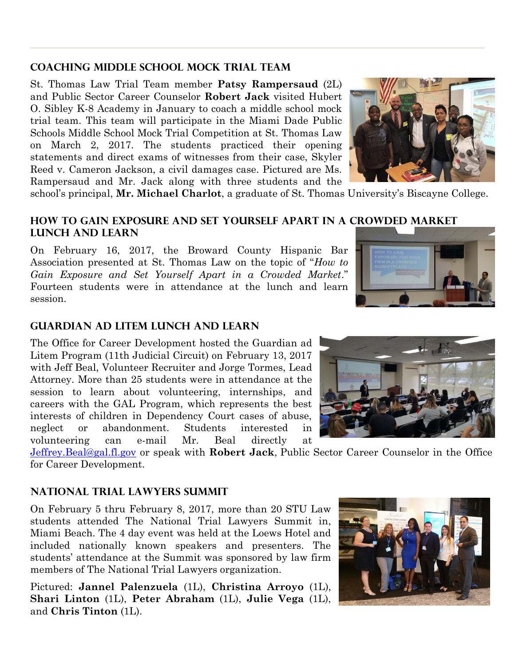## **Coaching Middle School Mock Trial Team**

St. Thomas Law Trial Team member **Patsy Rampersaud** (2L) and Public Sector Career Counselor **Robert Jack** visited Hubert O. Sibley K-8 Academy in January to coach a middle school mock trial team. This team will participate in the Miami Dade Public Schools Middle School Mock Trial Competition at St. Thomas Law on March 2, 2017. The students practiced their opening statements and direct exams of witnesses from their case, Skyler Reed v. Cameron Jackson, a civil damages case. Pictured are Ms. Rampersaud and Mr. Jack along with three students and the



school's principal, **Mr. Michael Charlot**, a graduate of St. Thomas University's Biscayne College.

#### **How to Gain Exposure and Set Yourself Apart in a Crowded Market Lunch and Learn**

On February 16, 2017, the Broward County Hispanic Bar Association presented at St. Thomas Law on the topic of "*How to Gain Exposure and Set Yourself Apart in a Crowded Market*." Fourteen students were in attendance at the lunch and learn session.



### **Guardian ad Litem Lunch and Learn**

The Office for Career Development hosted the Guardian ad Litem Program (11th Judicial Circuit) on February 13, 2017 with Jeff Beal, Volunteer Recruiter and Jorge Tormes, Lead Attorney. More than 25 students were in attendance at the session to learn about volunteering, internships, and careers with the GAL Program, which represents the best interests of children in Dependency Court cases of abuse, neglect or abandonment. Students interested in volunteering can e-mail Mr. Beal directly at

[Jeffrey.Beal@gal.fl.gov](mailto:Jeffrey.Beal@gal.fl.gov) or speak with **Robert Jack**, Public Sector Career Counselor in the Office for Career Development.

#### **National Trial Lawyers Summit**

On February 5 thru February 8, 2017, more than 20 STU Law students attended The National Trial Lawyers Summit in, Miami Beach. The 4 day event was held at the Loews Hotel and included nationally known speakers and presenters. The students' attendance at the Summit was sponsored by law firm members of The National Trial Lawyers organization.

Pictured: **Jannel Palenzuela** (1L), **Christina Arroyo** (1L), **Shari Linton** (1L), **Peter Abraham** (1L), **Julie Vega** (1L), and **Chris Tinton** (1L).